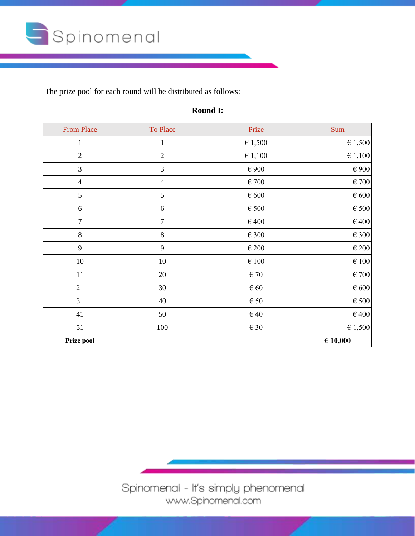

The prize pool for each round will be distributed as follows:

| <b>From Place</b> | To Place       | Prize            | Sum         |
|-------------------|----------------|------------------|-------------|
| $\mathbf{1}$      | $\mathbf{1}$   | $\epsilon$ 1,500 | $\in$ 1,500 |
| $\sqrt{2}$        | $\overline{2}$ | $\epsilon$ 1,100 | € 1,100     |
| 3                 | 3              | $\in 900$        | $\in 900$   |
| $\overline{4}$    | $\overline{4}$ | $\in 700$        | $\in 700$   |
| 5                 | $\mathfrak{S}$ | $\in 600$        | $\in 600$   |
| 6                 | $6\,$          | $\in$ 500        | $\in$ 500   |
| $\overline{7}$    | $\overline{7}$ | $\in 400$        | $\in 400$   |
| $8\,$             | $\,8\,$        | $\in$ 300        | $\in$ 300   |
| 9                 | 9              | $\in 200$        | $\in 200$   |
| $10\,$            | $10\,$         | $\in 100$        | $\in 100$   |
| 11                | 20             | $\in$ 70         | $\in 700$   |
| 21                | 30             | $\in 60$         | $\in 600$   |
| 31                | 40             | $\in$ 50         | $\in$ 500   |
| 41                | 50             | $\in$ 40         | $\in$ 400   |
| 51                | 100            | $\in$ 30         | 61,500      |
| Prize pool        |                |                  | € 10,000    |

## **Round I:**

Spinomenal - It's simply phenomenal www.Spinomenal.com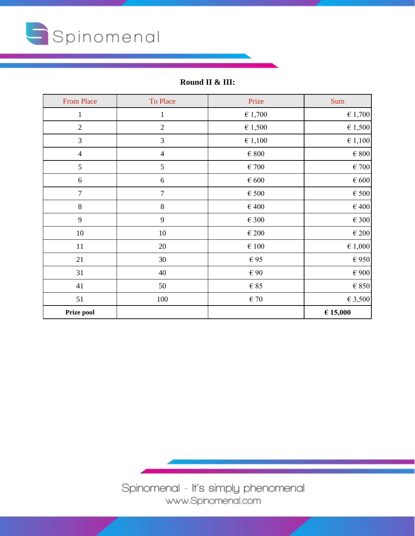

**Round II & III:**

| <b>From Place</b> | To Place       | Prize            | Sum              |
|-------------------|----------------|------------------|------------------|
| $\mathbf{1}$      | $\mathbf{1}$   | $\in 1,700$      | 61,700           |
| $\sqrt{2}$        | $\sqrt{2}$     | $\epsilon$ 1,500 | $\in$ 1,500      |
| $\mathfrak{Z}$    | $\mathfrak{Z}$ | $\in 1,100$      | $\epsilon$ 1,100 |
| $\overline{4}$    | $\overline{4}$ | $\in 800$        | $\in 800$        |
| 5                 | 5              | $\epsilon$ 700   | $\in 700$        |
| $\sqrt{6}$        | 6              | $\in 600$        | $\in 600$        |
| $\boldsymbol{7}$  | 7              | $\in$ 500        | $\in$ 500        |
| $\,8\,$           | $8\,$          | $\in 400$        | $\in 400$        |
| 9                 | $\mathbf{9}$   | $\in$ 300        | $\in$ 300        |
| $10\,$            | 10             | $\in 200$        | $\in 200$        |
| 11                | 20             | $\in 100$        | $\epsilon$ 1,000 |
| 21                | 30             | €95              | $\in$ 950        |
| 31                | 40             | $\in 90$         | $\in 900$        |
| 41                | 50             | $\in$ 85         | $\in$ 850        |
| 51                | 100            | $\in$ 70         | 63,500           |
| Prize pool        |                |                  | € 15,000         |